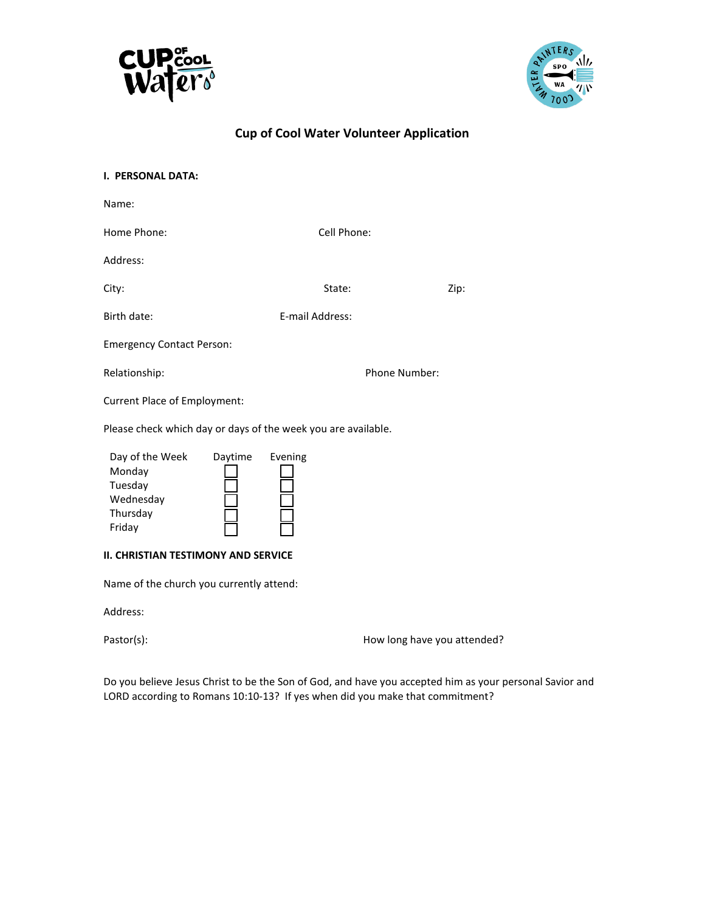



| <b>I. PERSONAL DATA:</b>                                                |                      |                 |                             |      |  |
|-------------------------------------------------------------------------|----------------------|-----------------|-----------------------------|------|--|
| Name:                                                                   |                      |                 |                             |      |  |
| Home Phone:                                                             |                      | Cell Phone:     |                             |      |  |
| Address:                                                                |                      |                 |                             |      |  |
| City:                                                                   |                      | State:          |                             | Zip: |  |
| Birth date:                                                             |                      | E-mail Address: |                             |      |  |
| <b>Emergency Contact Person:</b>                                        |                      |                 |                             |      |  |
| Relationship:                                                           | <b>Phone Number:</b> |                 |                             |      |  |
| <b>Current Place of Employment:</b>                                     |                      |                 |                             |      |  |
| Please check which day or days of the week you are available.           |                      |                 |                             |      |  |
| Day of the Week<br>Monday<br>Tuesday<br>Wednesday<br>Thursday<br>Friday | Daytime              | Evening         |                             |      |  |
| <b>II. CHRISTIAN TESTIMONY AND SERVICE</b>                              |                      |                 |                             |      |  |
| Name of the church you currently attend:                                |                      |                 |                             |      |  |
| Address:                                                                |                      |                 |                             |      |  |
| Pastor(s):                                                              |                      |                 | How long have you attended? |      |  |

Do you believe Jesus Christ to be the Son of God, and have you accepted him as your personal Savior and LORD according to Romans 10:10-13? If yes when did you make that commitment?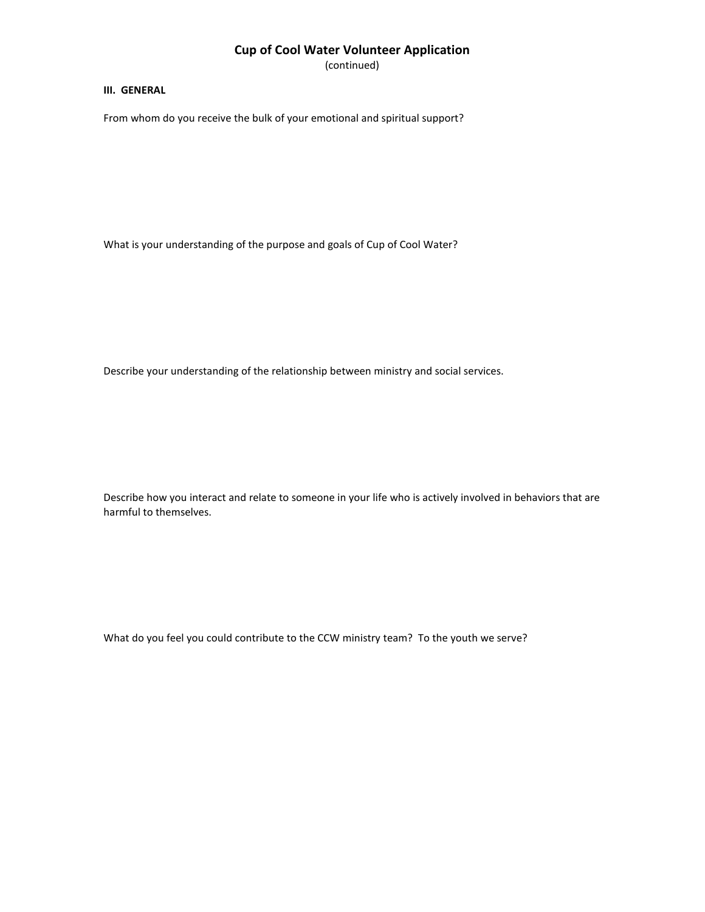(continued)

#### **III. GENERAL**

From whom do you receive the bulk of your emotional and spiritual support?

What is your understanding of the purpose and goals of Cup of Cool Water?

Describe your understanding of the relationship between ministry and social services.

Describe how you interact and relate to someone in your life who is actively involved in behaviors that are harmful to themselves.

What do you feel you could contribute to the CCW ministry team? To the youth we serve?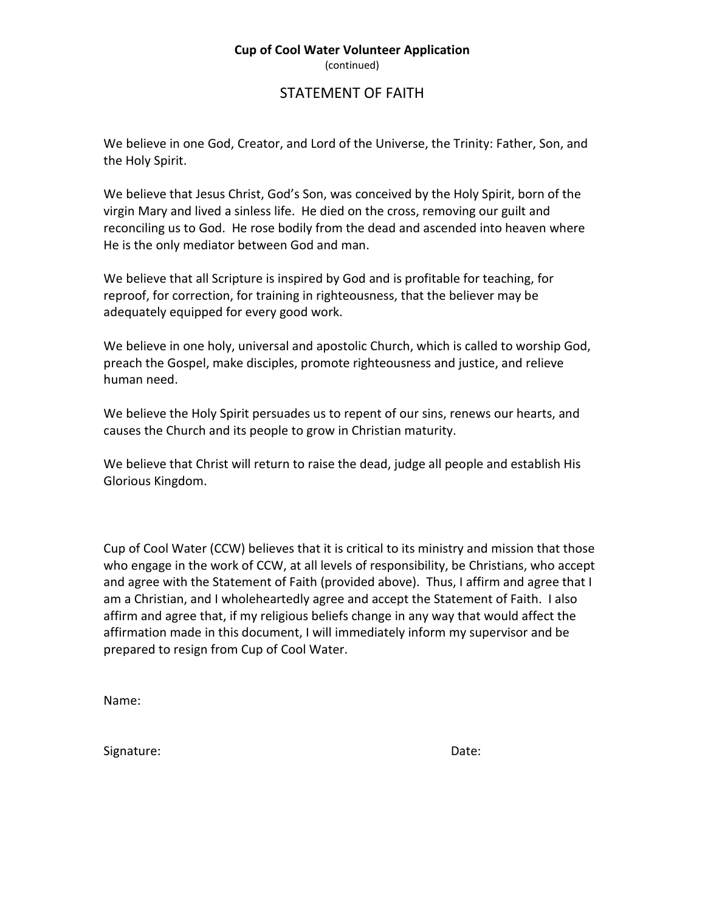(continued)

## STATEMENT OF FAITH

We believe in one God, Creator, and Lord of the Universe, the Trinity: Father, Son, and the Holy Spirit.

We believe that Jesus Christ, God's Son, was conceived by the Holy Spirit, born of the virgin Mary and lived a sinless life. He died on the cross, removing our guilt and reconciling us to God. He rose bodily from the dead and ascended into heaven where He is the only mediator between God and man.

We believe that all Scripture is inspired by God and is profitable for teaching, for reproof, for correction, for training in righteousness, that the believer may be adequately equipped for every good work.

We believe in one holy, universal and apostolic Church, which is called to worship God, preach the Gospel, make disciples, promote righteousness and justice, and relieve human need.

We believe the Holy Spirit persuades us to repent of our sins, renews our hearts, and causes the Church and its people to grow in Christian maturity.

We believe that Christ will return to raise the dead, judge all people and establish His Glorious Kingdom.

Cup of Cool Water (CCW) believes that it is critical to its ministry and mission that those who engage in the work of CCW, at all levels of responsibility, be Christians, who accept and agree with the Statement of Faith (provided above). Thus, I affirm and agree that I am a Christian, and I wholeheartedly agree and accept the Statement of Faith. I also affirm and agree that, if my religious beliefs change in any way that would affect the affirmation made in this document, I will immediately inform my supervisor and be prepared to resign from Cup of Cool Water.

Name:

Signature: Date: